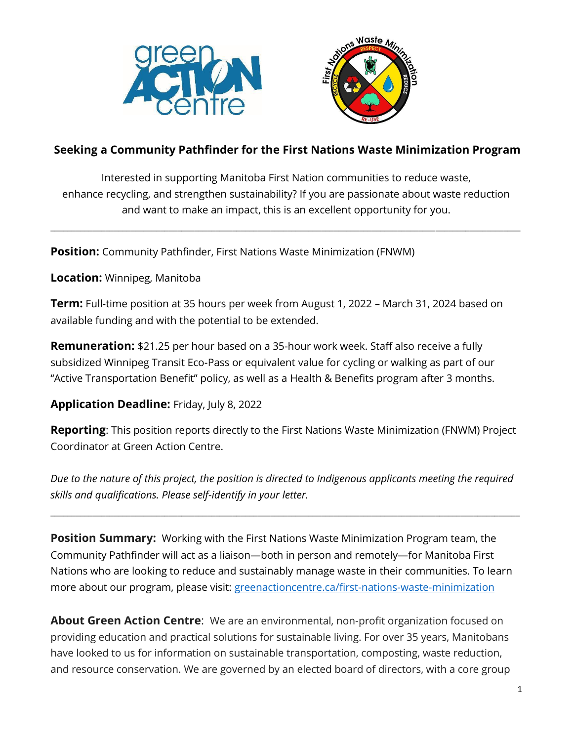



## **Seeking a Community Pathfinder for the First Nations Waste Minimization Program**

Interested in supporting Manitoba First Nation communities to reduce waste, enhance recycling, and strengthen sustainability? If you are passionate about waste reduction and want to make an impact, this is an excellent opportunity for you.

**\_\_\_\_\_\_\_\_\_\_\_\_\_\_\_\_\_\_\_\_\_\_\_\_\_\_\_\_\_\_\_\_\_\_\_\_\_\_\_\_\_\_\_\_\_\_\_\_\_\_\_\_\_\_\_\_\_\_\_\_\_\_\_\_\_\_\_\_\_\_\_\_\_\_\_\_\_\_\_\_\_\_\_\_\_\_\_\_\_\_\_\_\_\_\_\_\_\_\_\_\_\_\_\_\_\_\_\_\_\_\_**

**Position:** Community Pathfinder, First Nations Waste Minimization (FNWM)

**Location:** Winnipeg, Manitoba

**Term:** Full-time position at 35 hours per week from August 1, 2022 – March 31, 2024 based on available funding and with the potential to be extended.

**Remuneration:** \$21.25 per hour based on a 35-hour work week. Staff also receive a fully subsidized Winnipeg Transit Eco-Pass or equivalent value for cycling or walking as part of our "Active Transportation Benefit" policy, as well as a Health & Benefits program after 3 months.

#### **Application Deadline:** Friday, July 8, 2022

**Reporting**: This position reports directly to the First Nations Waste Minimization (FNWM) Project Coordinator at Green Action Centre.

*Due to the nature of this project, the position is directed to Indigenous applicants meeting the required skills and qualifications. Please self-identify in your letter.*

**\_\_\_\_\_\_\_\_\_\_\_\_\_\_\_\_\_\_\_\_\_\_\_\_\_\_\_\_\_\_\_\_\_\_\_\_\_\_\_\_\_\_\_\_\_\_\_\_\_\_\_\_\_\_\_\_\_\_\_\_\_\_\_\_\_\_\_\_\_\_\_\_\_\_\_\_\_\_\_\_\_\_\_\_\_\_\_\_\_\_\_\_\_\_\_\_\_\_\_\_\_\_\_\_\_\_\_\_\_\_\_**

**Position Summary:** Working with the First Nations Waste Minimization Program team, the Community Pathfinder will act as a liaison—both in person and remotely—for Manitoba First Nations who are looking to reduce and sustainably manage waste in their communities. To learn more about our program, please visit: [greenactioncentre.ca/first-nations-waste-minimization](https://greenactioncentre.ca/first-nations-waste-minimization/)

**About Green Action Centre**: We are an environmental, non-profit organization focused on providing education and practical solutions for sustainable living. For over 35 years, Manitobans have looked to us for information on sustainable transportation, composting, waste reduction, and resource conservation. We are governed by an elected board of directors, with a core group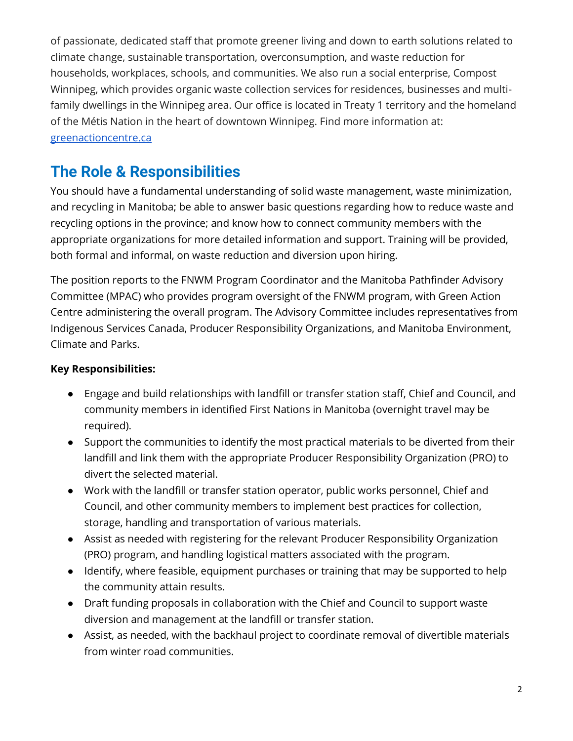of passionate, dedicated staff that promote greener living and down to earth solutions related to climate change, sustainable transportation, overconsumption, and waste reduction for households, workplaces, schools, and communities. We also run a social enterprise, Compost Winnipeg, which provides organic waste collection services for residences, businesses and multifamily dwellings in the Winnipeg area. Our office is located in Treaty 1 territory and the homeland of the Métis Nation in the heart of downtown Winnipeg. Find more information at: [greenactioncentre.ca](https://greenactioncentre.ca/)

# **The Role & Responsibilities**

You should have a fundamental understanding of solid waste management, waste minimization, and recycling in Manitoba; be able to answer basic questions regarding how to reduce waste and recycling options in the province; and know how to connect community members with the appropriate organizations for more detailed information and support. Training will be provided, both formal and informal, on waste reduction and diversion upon hiring.

The position reports to the FNWM Program Coordinator and the Manitoba Pathfinder Advisory Committee (MPAC) who provides program oversight of the FNWM program, with Green Action Centre administering the overall program. The Advisory Committee includes representatives from Indigenous Services Canada, Producer Responsibility Organizations, and Manitoba Environment, Climate and Parks.

### **Key Responsibilities:**

- Engage and build relationships with landfill or transfer station staff, Chief and Council, and community members in identified First Nations in Manitoba (overnight travel may be required).
- Support the communities to identify the most practical materials to be diverted from their landfill and link them with the appropriate Producer Responsibility Organization (PRO) to divert the selected material.
- Work with the landfill or transfer station operator, public works personnel, Chief and Council, and other community members to implement best practices for collection, storage, handling and transportation of various materials.
- Assist as needed with registering for the relevant Producer Responsibility Organization (PRO) program, and handling logistical matters associated with the program.
- Identify, where feasible, equipment purchases or training that may be supported to help the community attain results.
- Draft funding proposals in collaboration with the Chief and Council to support waste diversion and management at the landfill or transfer station.
- Assist, as needed, with the backhaul project to coordinate removal of divertible materials from winter road communities.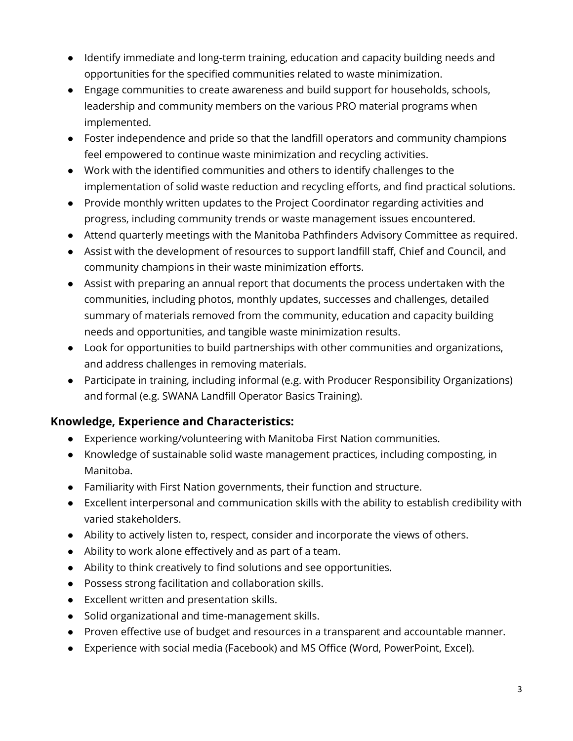- Identify immediate and long-term training, education and capacity building needs and opportunities for the specified communities related to waste minimization.
- Engage communities to create awareness and build support for households, schools, leadership and community members on the various PRO material programs when implemented.
- Foster independence and pride so that the landfill operators and community champions feel empowered to continue waste minimization and recycling activities.
- Work with the identified communities and others to identify challenges to the implementation of solid waste reduction and recycling efforts, and find practical solutions.
- Provide monthly written updates to the Project Coordinator regarding activities and progress, including community trends or waste management issues encountered.
- Attend quarterly meetings with the Manitoba Pathfinders Advisory Committee as required.
- Assist with the development of resources to support landfill staff, Chief and Council, and community champions in their waste minimization efforts.
- Assist with preparing an annual report that documents the process undertaken with the communities, including photos, monthly updates, successes and challenges, detailed summary of materials removed from the community, education and capacity building needs and opportunities, and tangible waste minimization results.
- Look for opportunities to build partnerships with other communities and organizations, and address challenges in removing materials.
- Participate in training, including informal (e.g. with Producer Responsibility Organizations) and formal (e.g. SWANA Landfill Operator Basics Training).

## **Knowledge, Experience and Characteristics:**

- Experience working/volunteering with Manitoba First Nation communities.
- Knowledge of sustainable solid waste management practices, including composting, in Manitoba.
- Familiarity with First Nation governments, their function and structure.
- Excellent interpersonal and communication skills with the ability to establish credibility with varied stakeholders.
- Ability to actively listen to, respect, consider and incorporate the views of others.
- Ability to work alone effectively and as part of a team.
- Ability to think creatively to find solutions and see opportunities.
- Possess strong facilitation and collaboration skills.
- Excellent written and presentation skills.
- Solid organizational and time-management skills.
- Proven effective use of budget and resources in a transparent and accountable manner.
- Experience with social media (Facebook) and MS Office (Word, PowerPoint, Excel).